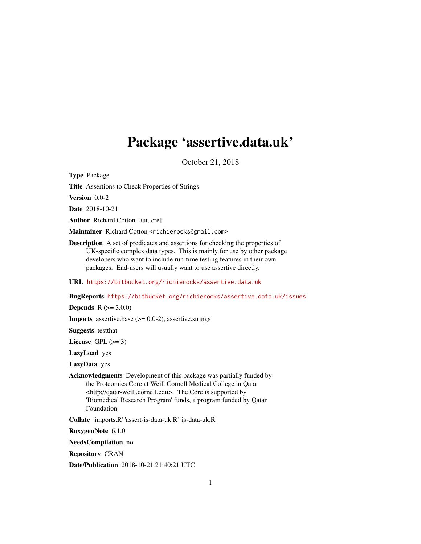## Package 'assertive.data.uk'

October 21, 2018

Type Package

Title Assertions to Check Properties of Strings

Version 0.0-2

Date 2018-10-21

Author Richard Cotton [aut, cre]

Maintainer Richard Cotton <richierocks@gmail.com>

Description A set of predicates and assertions for checking the properties of UK-specific complex data types. This is mainly for use by other package developers who want to include run-time testing features in their own packages. End-users will usually want to use assertive directly.

URL <https://bitbucket.org/richierocks/assertive.data.uk>

BugReports <https://bitbucket.org/richierocks/assertive.data.uk/issues>

**Depends**  $R (= 3.0.0)$ 

**Imports** assertive.base  $(>= 0.0-2)$ , assertive.strings

Suggests testthat

License GPL  $(>= 3)$ 

LazyLoad yes

LazyData yes

Acknowledgments Development of this package was partially funded by the Proteomics Core at Weill Cornell Medical College in Qatar <http://qatar-weill.cornell.edu>. The Core is supported by 'Biomedical Research Program' funds, a program funded by Qatar Foundation.

Collate 'imports.R' 'assert-is-data-uk.R' 'is-data-uk.R'

RoxygenNote 6.1.0

NeedsCompilation no

Repository CRAN

Date/Publication 2018-10-21 21:40:21 UTC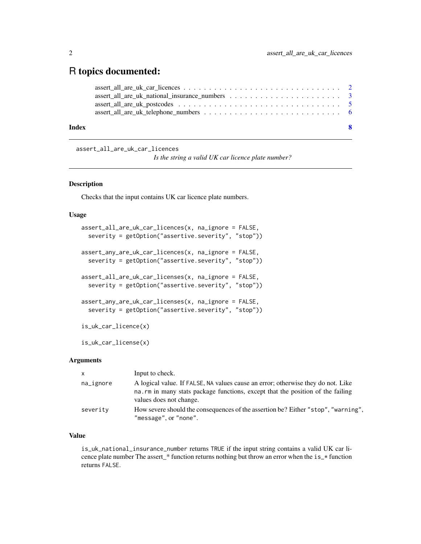## <span id="page-1-0"></span>R topics documented:

## **Index** [8](#page-7-0) **8**

assert\_all\_are\_uk\_car\_licences

*Is the string a valid UK car licence plate number?*

## Description

Checks that the input contains UK car licence plate numbers.

## Usage

```
assert_all_are_uk_car_licences(x, na_ignore = FALSE,
  severity = getOption("assertive.severity", "stop"))
assert_any_are_uk_car_licences(x, na_ignore = FALSE,
  severity = getOption("assertive.severity", "stop"))
assert\_all\_are\_uk\_car\_licenses(x, na\_ignore = FALSE,severity = getOption("assertive.severity", "stop"))
assert_any_are_uk_car_licenses(x, na_ignore = FALSE,
  severity = getOption("assertive.severity", "stop"))
is_uk_car_licence(x)
```
is\_uk\_car\_license(x)

### Arguments

| $\mathsf{X}$ | Input to check.                                                                                                                                                                               |
|--------------|-----------------------------------------------------------------------------------------------------------------------------------------------------------------------------------------------|
| na_ignore    | A logical value. If FALSE, NA values cause an error; otherwise they do not. Like<br>na.rm in many stats package functions, except that the position of the failing<br>values does not change. |
| severity     | How severe should the consequences of the assertion be? Either "stop", "warning",<br>"message", or "none".                                                                                    |

## Value

is\_uk\_national\_insurance\_number returns TRUE if the input string contains a valid UK car licence plate number The assert\_\* function returns nothing but throw an error when the is\_\* function returns FALSE.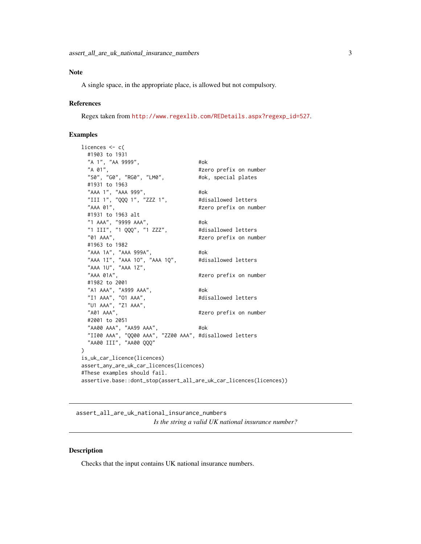## <span id="page-2-0"></span>Note

A single space, in the appropriate place, is allowed but not compulsory.

## References

Regex taken from [http://www.regexlib.com/REDetails.aspx?regexp\\_id=527](http://www.regexlib.com/REDetails.aspx?regexp_id=527).

## Examples

```
licences <- c(
 #1903 to 1931
 "A 1", "AA 9999", #ok<br>"A 01", #ze
                              #zero prefix on number
 "S0", "G0", "RG0", "LM0", #ok, special plates
 #1931 to 1963
 "AAA 1", "AAA 999", #ok
 "III 1", "QQQ 1", "ZZZ 1", #disallowed letters
 "AAA 01", \#zero prefix on number
 #1931 to 1963 alt
 "1 AAA", "9999 AAA", #ok
 "1 III", "1 QQQ", "1 ZZZ", #disallowed letters
 "01 AAA", #zero prefix on number
 #1963 to 1982
 "AAA 1A", "AAA 999A", #ok
 "AAA 1I", "AAA 10", "AAA 1Q", #disallowed letters
 "AAA 1U", "AAA 1Z",
 "AAA 01A", #zero prefix on number
 #1982 to 2001
 "A1 AAA", "A999 AAA", #ok
 "I1 AAA", "O1 AAA", #disallowed letters
 "U1 AAA", "Z1 AAA",
 "A01 AAA", \qquad \qquad \text{#zero prefix on number}#2001 to 2051
 "AA00 AAA", "AA99 AAA", #ok
 "II00 AAA", "QQ00 AAA", "ZZ00 AAA", #disallowed letters
 "AA00 III", "AA00 QQQ"
\lambdais_uk_car_licence(licences)
assert_any_are_uk_car_licences(licences)
#These examples should fail.
assertive.base::dont_stop(assert_all_are_uk_car_licences(licences))
```
assert\_all\_are\_uk\_national\_insurance\_numbers *Is the string a valid UK national insurance number?*

## **Description**

Checks that the input contains UK national insurance numbers.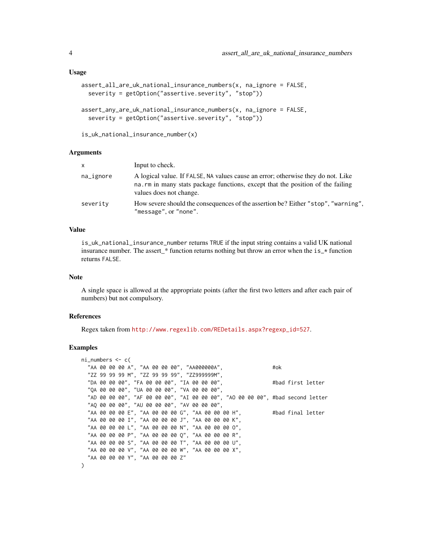## Usage

```
assert_all_are_uk_national_insurance_numbers(x, na_ignore = FALSE,
  severity = getOption("assertive.severity", "stop"))
```

```
assert_any_are_uk_national_insurance_numbers(x, na_ignore = FALSE,
  severity = getOption("assertive.severity", "stop"))
```
is\_uk\_national\_insurance\_number(x)

## Arguments

| <b>X</b>  | Input to check.                                                                                                                                                                               |
|-----------|-----------------------------------------------------------------------------------------------------------------------------------------------------------------------------------------------|
| na_ignore | A logical value. If FALSE, NA values cause an error; otherwise they do not. Like<br>na.rm in many stats package functions, except that the position of the failing<br>values does not change. |
| severity  | How severe should the consequences of the assertion be? Either "stop", "warning",<br>"message", or "none".                                                                                    |

## Value

is\_uk\_national\_insurance\_number returns TRUE if the input string contains a valid UK national insurance number. The assert\_\* function returns nothing but throw an error when the  $i s_+$  function returns FALSE.

#### Note

A single space is allowed at the appropriate points (after the first two letters and after each pair of numbers) but not compulsory.

### References

Regex taken from [http://www.regexlib.com/REDetails.aspx?regexp\\_id=527](http://www.regexlib.com/REDetails.aspx?regexp_id=527).

#### Examples

```
ni_numbers <- c(
 "AA 00 00 00 A", "AA 00 00 00", "AA000000A", #ok
 "ZZ 99 99 99 M", "ZZ 99 99 99", "ZZ999999M",
 "DA 00 00 00", "FA 00 00 00", "IA 00 00 00", #bad first letter
 "QA 00 00 00", "UA 00 00 00", "VA 00 00 00",
 "AD 00 00 00", "AF 00 00 00", "AI 00 00 00", "AO 00 00 00", #bad second letter
 "AQ 00 00 00", "AU 00 00 00", "AV 00 00 00",
 "AA 00 00 00 E", "AA 00 00 00 G", "AA 00 00 00 H", #bad final letter
 "AA 00 00 00 I", "AA 00 00 00 J", "AA 00 00 00 K",
  "AA 00 00 00 L", "AA 00 00 00 N", "AA 00 00 00 O",
  "AA 00 00 00 P", "AA 00 00 00 Q", "AA 00 00 00 R",
  "AA 00 00 00 S", "AA 00 00 00 T", "AA 00 00 00 U",
  "AA 00 00 00 V", "AA 00 00 00 W", "AA 00 00 00 X",
  "AA 00 00 00 Y", "AA 00 00 00 Z"
)
```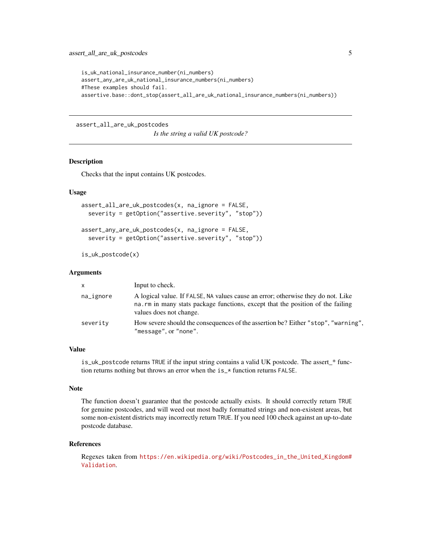```
is_uk_national_insurance_number(ni_numbers)
assert_any_are_uk_national_insurance_numbers(ni_numbers)
#These examples should fail.
assertive.base::dont_stop(assert_all_are_uk_national_insurance_numbers(ni_numbers))
```

```
assert_all_are_uk_postcodes
```
*Is the string a valid UK postcode?*

## Description

Checks that the input contains UK postcodes.

## Usage

```
assert_all_are_uk_postcodes(x, na_ignore = FALSE,
  severity = getOption("assertive.severity", "stop"))
assert_any_are_uk_postcodes(x, na_ignore = FALSE,
  severity = getOption("assertive.severity", "stop"))
```

```
is_uk_postcode(x)
```
## Arguments

| $\mathsf{x}$ | Input to check.                                                                                                                                                                               |
|--------------|-----------------------------------------------------------------------------------------------------------------------------------------------------------------------------------------------|
| na_ignore    | A logical value. If FALSE, NA values cause an error; otherwise they do not. Like<br>na.rm in many stats package functions, except that the position of the failing<br>values does not change. |
| severity     | How severe should the consequences of the assertion be? Either "stop", "warning",<br>"message", or "none".                                                                                    |

## Value

is\_uk\_postcode returns TRUE if the input string contains a valid UK postcode. The assert\_\* function returns nothing but throws an error when the is\_\* function returns FALSE.

#### Note

The function doesn't guarantee that the postcode actually exists. It should correctly return TRUE for genuine postcodes, and will weed out most badly formatted strings and non-existent areas, but some non-existent districts may incorrectly return TRUE. If you need 100 check against an up-to-date postcode database.

### References

Regexes taken from [https://en.wikipedia.org/wiki/Postcodes\\_in\\_the\\_United\\_Kingdom#](https://en.wikipedia.org/wiki/Postcodes_in_the_United_Kingdom#Validation) [Validation](https://en.wikipedia.org/wiki/Postcodes_in_the_United_Kingdom#Validation).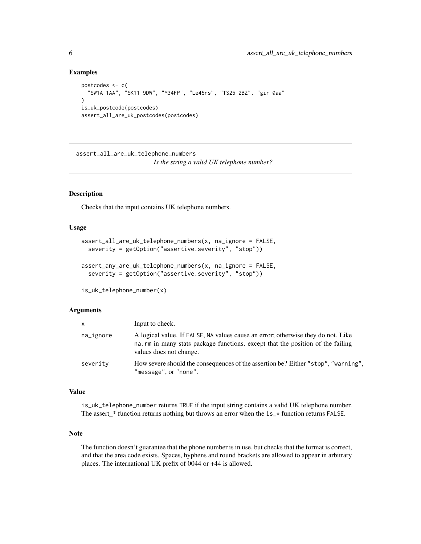## Examples

```
postcodes <- c(
  "SW1A 1AA", "SK11 9DW", "M34FP", "Le45ns", "TS25 2BZ", "gir 0aa"
)
is_uk_postcode(postcodes)
assert_all_are_uk_postcodes(postcodes)
```
assert\_all\_are\_uk\_telephone\_numbers

*Is the string a valid UK telephone number?*

## Description

Checks that the input contains UK telephone numbers.

## Usage

```
assert_all_are_uk_telephone_numbers(x, na_ignore = FALSE,
  severity = getOption("assertive.severity", "stop"))
assert_any_are_uk_telephone_numbers(x, na_ignore = FALSE,
```

```
severity = getOption("assertive.severity", "stop"))
```
is\_uk\_telephone\_number(x)

#### Arguments

| $\mathsf{x}$ | Input to check.                                                                                                                                                                               |
|--------------|-----------------------------------------------------------------------------------------------------------------------------------------------------------------------------------------------|
| na_ignore    | A logical value. If FALSE, NA values cause an error; otherwise they do not. Like<br>na.rm in many stats package functions, except that the position of the failing<br>values does not change. |
| severity     | How severe should the consequences of the assertion be? Either "stop", "warning",<br>"message", or "none".                                                                                    |

## Value

is\_uk\_telephone\_number returns TRUE if the input string contains a valid UK telephone number. The assert\_\* function returns nothing but throws an error when the is\_\* function returns FALSE.

#### Note

The function doesn't guarantee that the phone number is in use, but checks that the format is correct, and that the area code exists. Spaces, hyphens and round brackets are allowed to appear in arbitrary places. The international UK prefix of 0044 or +44 is allowed.

<span id="page-5-0"></span>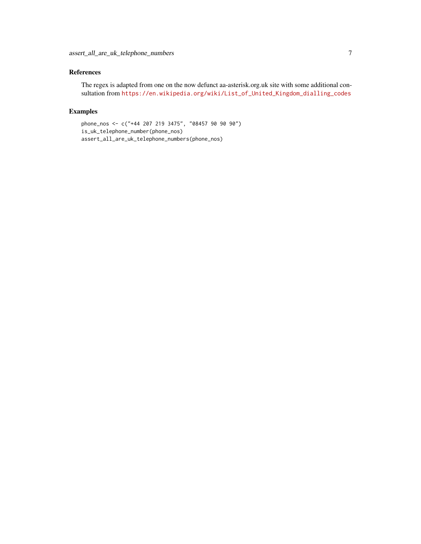## References

The regex is adapted from one on the now defunct aa-asterisk.org.uk site with some additional consultation from [https://en.wikipedia.org/wiki/List\\_of\\_United\\_Kingdom\\_dialling\\_codes](https://en.wikipedia.org/wiki/List_of_United_Kingdom_dialling_codes)

## Examples

```
phone_nos <- c("+44 207 219 3475", "08457 90 90 90")
is_uk_telephone_number(phone_nos)
assert_all_are_uk_telephone_numbers(phone_nos)
```